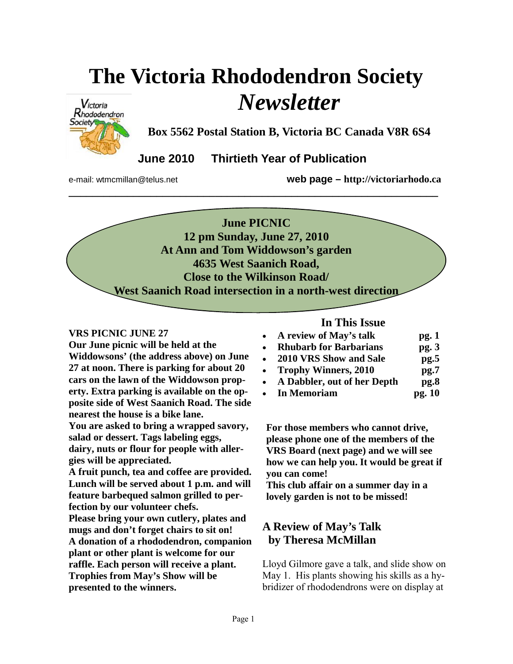# **The Victoria Rhododendron Society**  *Newsletter*



**Box 5562 Postal Station B, Victoria BC Canada V8R 6S4** 

 **June 2010 Thirtieth Year of Publication** 

e-mail: wtmcmillan@telus.net **web page – http://victoriarhodo.ca**

**June PICNIC 12 pm Sunday, June 27, 2010 At Ann and Tom Widdowson's garden 4635 West Saanich Road, Close to the Wilkinson Road/ West Saanich Road intersection in a north-west direction** 

**\_\_\_\_\_\_\_\_\_\_\_\_\_\_\_\_\_\_\_\_\_\_\_\_\_\_\_\_\_\_\_\_\_\_\_\_\_\_\_\_\_\_\_\_\_\_\_\_\_\_\_\_\_\_\_\_\_\_\_\_\_\_\_** 

#### **VRS PICNIC JUNE 27**

**Our June picnic will be held at the Widdowsons' (the address above) on June 27 at noon. There is parking for about 20 cars on the lawn of the Widdowson property. Extra parking is available on the opposite side of West Saanich Road. The side nearest the house is a bike lane.** 

**You are asked to bring a wrapped savory, salad or dessert. Tags labeling eggs, dairy, nuts or flour for people with allergies will be appreciated.** 

**A fruit punch, tea and coffee are provided. Lunch will be served about 1 p.m. and will feature barbequed salmon grilled to perfection by our volunteer chefs.** 

**Please bring your own cutlery, plates and mugs and don't forget chairs to sit on! A donation of a rhododendron, companion plant or other plant is welcome for our raffle. Each person will receive a plant. Trophies from May's Show will be presented to the winners.** 

# **In This Issue**

- A review of May's talk pg. 1
- **Rhubarb for Barbarians pg. 3**
- **2010 VRS Show and Sale pg.5**
- **Trophy Winners, 2010 pg.7**
- **A Dabbler, out of her Depth pg.8**
- **In Memoriam pg. 10**

**For those members who cannot drive, please phone one of the members of the VRS Board (next page) and we will see how we can help you. It would be great if you can come!** 

**This club affair on a summer day in a lovely garden is not to be missed!**

# **A Review of May's Talk by Theresa McMillan**

Lloyd Gilmore gave a talk, and slide show on May 1. His plants showing his skills as a hybridizer of rhododendrons were on display at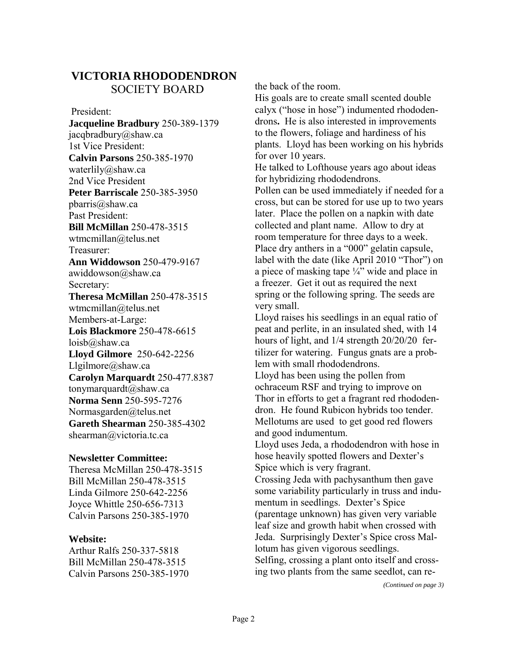# **VICTORIA RHODODENDRON**  SOCIETY BOARD

 President: **Jacqueline Bradbury** 250-389-1379 jacqbradbury@shaw.ca 1st Vice President: **Calvin Parsons** 250-385-1970 waterlily@shaw.ca 2nd Vice President **Peter Barriscale** 250-385-3950 pbarris@shaw.ca Past President: **Bill McMillan** 250-478-3515 wtmcmillan@telus.net Treasurer: **Ann Widdowson** 250-479-9167 awiddowson@shaw.ca Secretary: **Theresa McMillan** 250-478-3515 wtmcmillan@telus.net Members-at-Large: **Lois Blackmore** 250-478-6615 loisb@shaw.ca **Lloyd Gilmore** 250-642-2256 Llgilmore@shaw.ca **Carolyn Marquardt** 250-477.8387 tonymarquardt@shaw.ca **Norma Senn** 250-595-7276 Normasgarden@telus.net **Gareth Shearman** 250-385-4302 shearman@victoria.tc.ca

#### **Newsletter Committee:**

Theresa McMillan 250-478-3515 Bill McMillan 250-478-3515 Linda Gilmore 250-642-2256 Joyce Whittle 250-656-7313 Calvin Parsons 250-385-1970

#### **Website:**

Arthur Ralfs 250-337-5818 Bill McMillan 250-478-3515 Calvin Parsons 250-385-1970 the back of the room.

His goals are to create small scented double calyx ("hose in hose") indumented rhododendrons**.** He is also interested in improvements to the flowers, foliage and hardiness of his plants. Lloyd has been working on his hybrids for over 10 years.

He talked to Lofthouse years ago about ideas for hybridizing rhododendrons.

Pollen can be used immediately if needed for a cross, but can be stored for use up to two years later. Place the pollen on a napkin with date collected and plant name. Allow to dry at room temperature for three days to a week. Place dry anthers in a "000" gelatin capsule, label with the date (like April 2010 "Thor") on a piece of masking tape  $\frac{1}{4}$ " wide and place in a freezer. Get it out as required the next spring or the following spring. The seeds are very small.

Lloyd raises his seedlings in an equal ratio of peat and perlite, in an insulated shed, with 14 hours of light, and 1/4 strength 20/20/20 fertilizer for watering. Fungus gnats are a problem with small rhododendrons. Lloyd has been using the pollen from ochraceum RSF and trying to improve on Thor in efforts to get a fragrant red rhododendron. He found Rubicon hybrids too tender. Mellotums are used to get good red flowers and good indumentum. Lloyd uses Jeda, a rhododendron with hose in hose heavily spotted flowers and Dexter's Spice which is very fragrant. Crossing Jeda with pachysanthum then gave some variability particularly in truss and indumentum in seedlings. Dexter's Spice (parentage unknown) has given very variable leaf size and growth habit when crossed with Jeda. Surprisingly Dexter's Spice cross Mallotum has given vigorous seedlings. Selfing, crossing a plant onto itself and crossing two plants from the same seedlot, can re-

*(Continued on page 3)*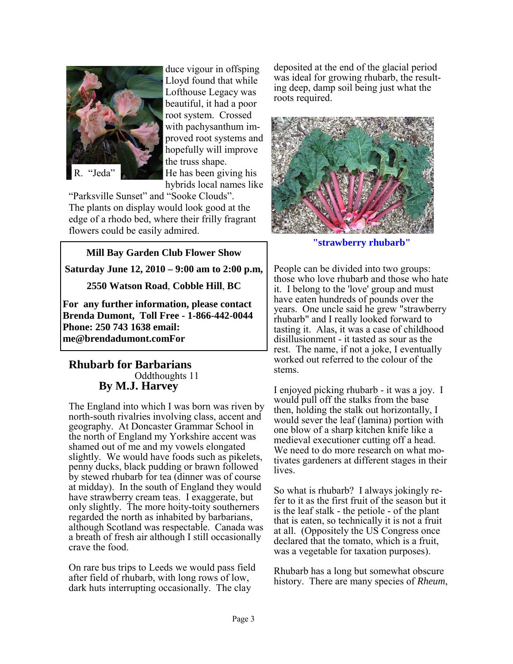

duce vigour in offsping Lloyd found that while Lofthouse Legacy was beautiful, it had a poor root system. Crossed with pachysanthum improved root systems and hopefully will improve the truss shape. He has been giving his hybrids local names like

"Parksville Sunset" and "Sooke Clouds". The plants on display would look good at the edge of a rhodo bed, where their frilly fragrant flowers could be easily admired.

**Mill Bay Garden Club Flower Show Saturday June 12, 2010 – 9:00 am to 2:00 p.m,** 

**2550 Watson Road**, **Cobble Hill**, **BC**

**For any further information, please contact Brenda Dumont, Toll Free - 1-866-442-0044 Phone: 250 743 1638 email: me@brendadumont.comFor**

#### **Rhubarb for Barbarians**  Oddthoughts 11 **By M.J. Harvey**

The England into which I was born was riven by north-south rivalries involving class, accent and geography. At Doncaster Grammar School in the north of England my Yorkshire accent was shamed out of me and my vowels elongated slightly. We would have foods such as pikelets, penny ducks, black pudding or brawn followed by stewed rhubarb for tea (dinner was of course at midday). In the south of England they would have strawberry cream teas. I exaggerate, but only slightly. The more hoity-toity southerners regarded the north as inhabited by barbarians, although Scotland was respectable. Canada was a breath of fresh air although I still occasionally crave the food.

On rare bus trips to Leeds we would pass field after field of rhubarb, with long rows of low, dark huts interrupting occasionally. The clay

deposited at the end of the glacial period was ideal for growing rhubarb, the resulting deep, damp soil being just what the roots required.



**"strawberry rhubarb"** 

People can be divided into two groups: those who love rhubarb and those who hate it. I belong to the 'love' group and must have eaten hundreds of pounds over the years. One uncle said he grew "strawberry rhubarb" and I really looked forward to tasting it. Alas, it was a case of childhood disillusionment - it tasted as sour as the rest. The name, if not a joke, I eventually worked out referred to the colour of the stems.

I enjoyed picking rhubarb - it was a joy. I would pull off the stalks from the base then, holding the stalk out horizontally, I would sever the leaf (lamina) portion with one blow of a sharp kitchen knife like a medieval executioner cutting off a head. We need to do more research on what motivates gardeners at different stages in their lives.

So what is rhubarb? I always jokingly refer to it as the first fruit of the season but it is the leaf stalk - the petiole - of the plant that is eaten, so technically it is not a fruit at all. (Oppositely the US Congress once declared that the tomato, which is a fruit, was a vegetable for taxation purposes).

Rhubarb has a long but somewhat obscure history. There are many species of *Rheum*,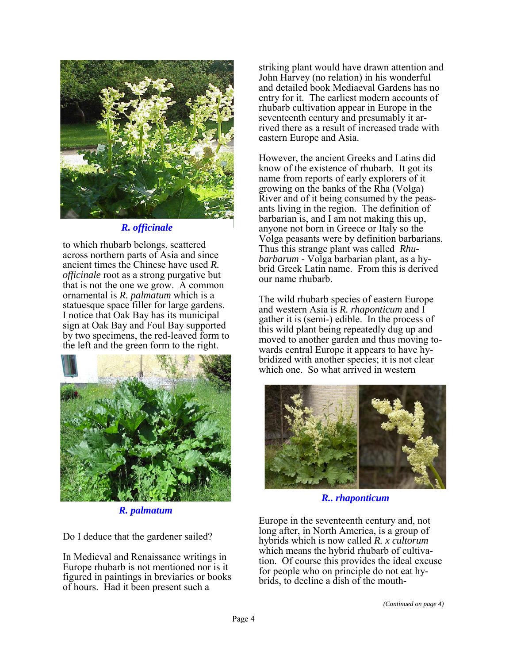

*R. officinale*

to which rhubarb belongs, scattered across northern parts of Asia and since ancient times the Chinese have used *R. officinale* root as a strong purgative but that is not the one we grow. A common ornamental is *R. palmatum* which is a statuesque space filler for large gardens. I notice that Oak Bay has its municipal sign at Oak Bay and Foul Bay supported by two specimens, the red-leaved form to the left and the green form to the right.



*R. palmatum*

Do I deduce that the gardener sailed?

In Medieval and Renaissance writings in Europe rhubarb is not mentioned nor is it figured in paintings in breviaries or books of hours. Had it been present such a

striking plant would have drawn attention and John Harvey (no relation) in his wonderful and detailed book Mediaeval Gardens has no entry for it. The earliest modern accounts of rhubarb cultivation appear in Europe in the seventeenth century and presumably it arrived there as a result of increased trade with eastern Europe and Asia.

However, the ancient Greeks and Latins did know of the existence of rhubarb. It got its name from reports of early explorers of it growing on the banks of the Rha (Volga) River and of it being consumed by the peasants living in the region. The definition of barbarian is, and I am not making this up, anyone not born in Greece or Italy so the Volga peasants were by definition barbarians. Thus this strange plant was called *Rhubarbarum* - Volga barbarian plant, as a hybrid Greek Latin name. From this is derived our name rhubarb.

The wild rhubarb species of eastern Europe and western Asia is *R. rhaponticum* and I gather it is (semi-) edible. In the process of this wild plant being repeatedly dug up and moved to another garden and thus moving towards central Europe it appears to have hybridized with another species; it is not clear which one. So what arrived in western



*R.. rhaponticum*

Europe in the seventeenth century and, not long after, in North America, is a group of hybrids which is now called *R. x cultorum* which means the hybrid rhubarb of cultivation. Of course this provides the ideal excuse for people who on principle do not eat hybrids, to decline a dish of the mouth-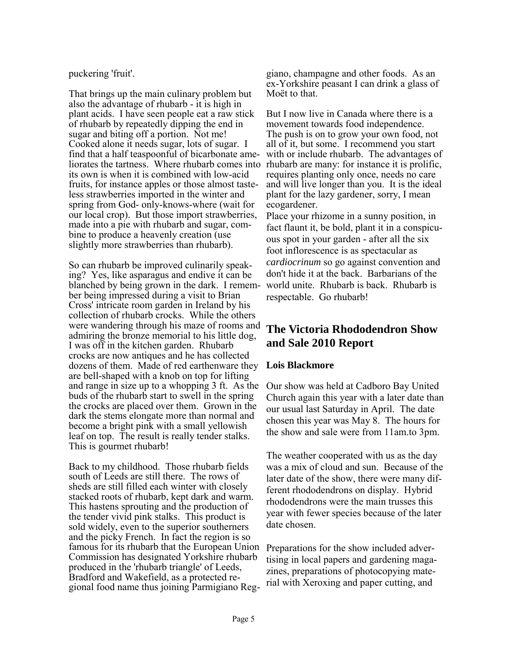#### puckering 'fruit'.

That brings up the main culinary problem but also the advantage of rhubarb - it is high in plant acids. I have seen people eat a raw stick of rhubarb by repeatedly dipping the end in sugar and biting off a portion. Not me! Cooked alone it needs sugar, lots of sugar. I find that a half teaspoonful of bicarbonate ameliorates the tartness. Where rhubarb comes into its own is when it is combined with low-acid fruits, for instance apples or those almost tasteless strawberries imported in the winter and spring from God- only-knows-where (wait for our local crop). But those import strawberries, made into a pie with rhubarb and sugar, combine to produce a heavenly creation (use slightly more strawberries than rhubarb).

So can rhubarb be improved culinarily speaking? Yes, like asparagus and endive it can be blanched by being grown in the dark. I remember being impressed during a visit to Brian Cross' intricate room garden in Ireland by his collection of rhubarb crocks. While the others were wandering through his maze of rooms and admiring the bronze memorial to his little dog, I was off in the kitchen garden. Rhubarb crocks are now antiques and he has collected dozens of them. Made of red earthenware they are bell-shaped with a knob on top for lifting and range in size up to a whopping 3 ft. As the buds of the rhubarb start to swell in the spring the crocks are placed over them. Grown in the dark the stems elongate more than normal and become a bright pink with a small yellowish leaf on top. The result is really tender stalks. This is gourmet rhubarb!

Back to my childhood. Those rhubarb fields south of Leeds are still there. The rows of sheds are still filled each winter with closely stacked roots of rhubarb, kept dark and warm. This hastens sprouting and the production of the tender vivid pink stalks. This product is sold widely, even to the superior southerners and the picky French. In fact the region is so famous for its rhubarb that the European Union Commission has designated Yorkshire rhubarb produced in the 'rhubarb triangle' of Leeds, Bradford and Wakefield, as a protected regional food name thus joining Parmigiano Reg-

giano, champagne and other foods. As an ex-Yorkshire peasant I can drink a glass of Moёt to that.

But I now live in Canada where there is a movement towards food independence. The push is on to grow your own food, not all of it, but some. I recommend you start with or include rhubarb. The advantages of rhubarb are many: for instance it is prolific, requires planting only once, needs no care and will live longer than you. It is the ideal plant for the lazy gardener, sorry, I mean ecogardener.

Place your rhizome in a sunny position, in fact flaunt it, be bold, plant it in a conspicuous spot in your garden - after all the six foot inflorescence is as spectacular as *cardiocrinum* so go against convention and don't hide it at the back. Barbarians of the world unite. Rhubarb is back. Rhubarb is respectable. Go rhubarb!

# **The Victoria Rhododendron Show and Sale 2010 Report**

#### **Lois Blackmore**

Our show was held at Cadboro Bay United Church again this year with a later date than our usual last Saturday in April. The date chosen this year was May 8. The hours for the show and sale were from 11am.to 3pm.

The weather cooperated with us as the day was a mix of cloud and sun. Because of the later date of the show, there were many different rhododendrons on display. Hybrid rhododendrons were the main trusses this year with fewer species because of the later date chosen.

Preparations for the show included advertising in local papers and gardening magazines, preparations of photocopying material with Xeroxing and paper cutting, and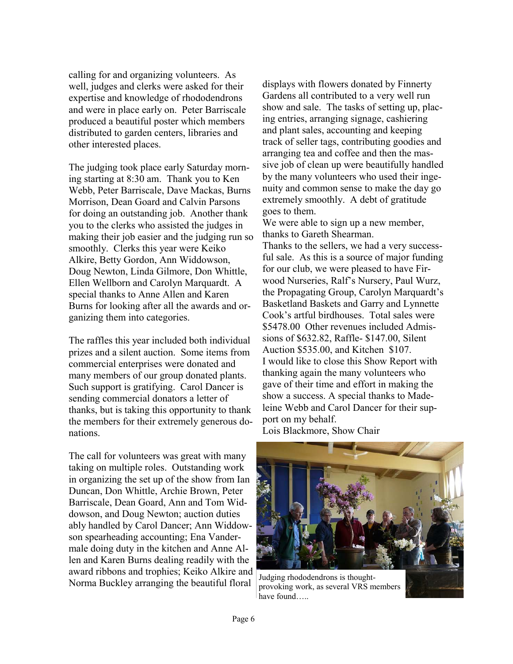calling for and organizing volunteers. As well, judges and clerks were asked for their expertise and knowledge of rhododendrons and were in place early on. Peter Barriscale produced a beautiful poster which members distributed to garden centers, libraries and other interested places.

The judging took place early Saturday morning starting at 8:30 am. Thank you to Ken Webb, Peter Barriscale, Dave Mackas, Burns Morrison, Dean Goard and Calvin Parsons for doing an outstanding job. Another thank you to the clerks who assisted the judges in making their job easier and the judging run so smoothly. Clerks this year were Keiko Alkire, Betty Gordon, Ann Widdowson, Doug Newton, Linda Gilmore, Don Whittle, Ellen Wellborn and Carolyn Marquardt. A special thanks to Anne Allen and Karen Burns for looking after all the awards and organizing them into categories.

The raffles this year included both individual prizes and a silent auction. Some items from commercial enterprises were donated and many members of our group donated plants. Such support is gratifying. Carol Dancer is sending commercial donators a letter of thanks, but is taking this opportunity to thank the members for their extremely generous donations.

The call for volunteers was great with many taking on multiple roles. Outstanding work in organizing the set up of the show from Ian Duncan, Don Whittle, Archie Brown, Peter Barriscale, Dean Goard, Ann and Tom Widdowson, and Doug Newton; auction duties ably handled by Carol Dancer; Ann Widdowson spearheading accounting; Ena Vandermale doing duty in the kitchen and Anne Allen and Karen Burns dealing readily with the award ribbons and trophies; Keiko Alkire and Norma Buckley arranging the beautiful floral

displays with flowers donated by Finnerty Gardens all contributed to a very well run show and sale. The tasks of setting up, placing entries, arranging signage, cashiering and plant sales, accounting and keeping track of seller tags, contributing goodies and arranging tea and coffee and then the massive job of clean up were beautifully handled by the many volunteers who used their ingenuity and common sense to make the day go extremely smoothly. A debt of gratitude goes to them.

We were able to sign up a new member, thanks to Gareth Shearman.

Thanks to the sellers, we had a very successful sale. As this is a source of major funding for our club, we were pleased to have Firwood Nurseries, Ralf's Nursery, Paul Wurz, the Propagating Group, Carolyn Marquardt's Basketland Baskets and Garry and Lynnette Cook's artful birdhouses. Total sales were \$5478.00 Other revenues included Admissions of \$632.82, Raffle- \$147.00, Silent Auction \$535.00, and Kitchen \$107. I would like to close this Show Report with thanking again the many volunteers who gave of their time and effort in making the show a success. A special thanks to Madeleine Webb and Carol Dancer for their support on my behalf. Lois Blackmore, Show Chair



Judging rhododendrons is thoughtprovoking work, as several VRS members have found…..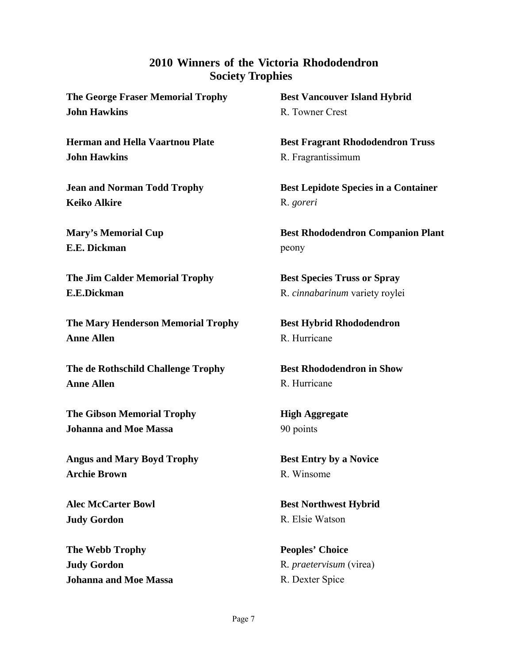### **2010 Winners of the Victoria Rhododendron Society Trophies**

**The George Fraser Memorial Trophy John Hawkins**

**Herman and Hella Vaartnou Plate John Hawkins** 

**Jean and Norman Todd Trophy Keiko Alkire** 

**Mary's Memorial Cup E.E. Dickman** 

**The Jim Calder Memorial Trophy E.E.Dickman**

**The Mary Henderson Memorial Trophy Anne Allen** 

**The de Rothschild Challenge Trophy Anne Allen** 

**The Gibson Memorial Trophy Johanna and Moe Massa** 

**Angus and Mary Boyd Trophy Archie Brown** 

**Alec McCarter Bowl Judy Gordon** 

**The Webb Trophy Judy Gordon Johanna and Moe Massa**  **Best Vancouver Island Hybrid**  R. Towner Crest

**Best Fragrant Rhododendron Truss**  R. Fragrantissimum

**Best Lepidote Species in a Container**  R. *goreri*

**Best Rhododendron Companion Plant**  peony

**Best Species Truss or Spray**  R. *cinnabarinum* variety roylei

**Best Hybrid Rhododendron**  R. Hurricane

**Best Rhododendron in Show**  R. Hurricane

**High Aggregate**  90 points

**Best Entry by a Novice**  R. Winsome

**Best Northwest Hybrid**  R. Elsie Watson

**Peoples' Choice**  R*. praetervisum* (virea) R. Dexter Spice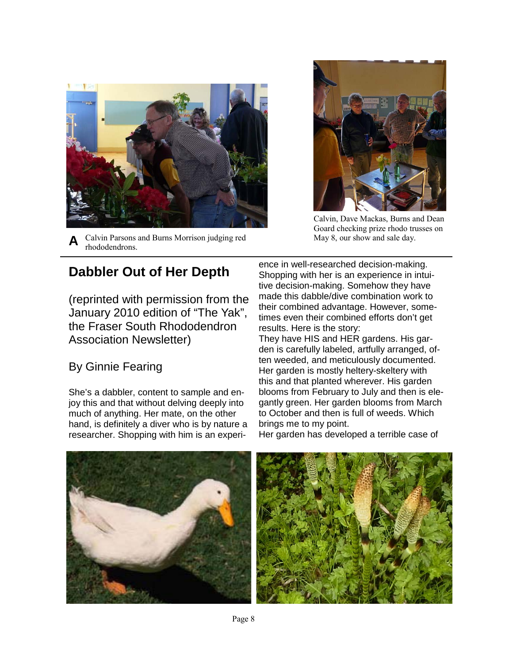

**A**  Calvin Parsons and Burns Morrison judging red rhododendrons.



Calvin, Dave Mackas, Burns and Dean Goard checking prize rhodo trusses on May 8, our show and sale day.

# **Dabbler Out of Her Depth**

(reprinted with permission from the January 2010 edition of "The Yak", the Fraser South Rhododendron Association Newsletter)

# By Ginnie Fearing

She's a dabbler, content to sample and enjoy this and that without delving deeply into much of anything. Her mate, on the other hand, is definitely a diver who is by nature a researcher. Shopping with him is an experience in well-researched decision-making. Shopping with her is an experience in intuitive decision-making. Somehow they have made this dabble/dive combination work to their combined advantage. However, sometimes even their combined efforts don't get results. Here is the story:

They have HIS and HER gardens. His garden is carefully labeled, artfully arranged, often weeded, and meticulously documented. Her garden is mostly heltery-skeltery with this and that planted wherever. His garden blooms from February to July and then is elegantly green. Her garden blooms from March to October and then is full of weeds. Which brings me to my point.

Her garden has developed a terrible case of

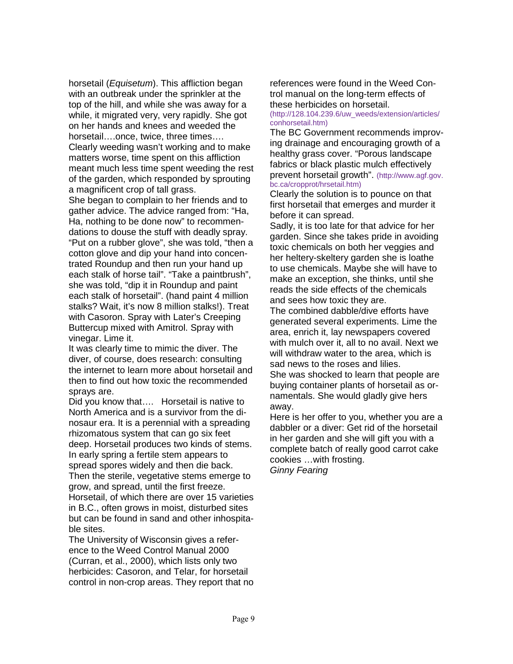horsetail (*Equisetum*). This affliction began with an outbreak under the sprinkler at the top of the hill, and while she was away for a while, it migrated very, very rapidly. She got on her hands and knees and weeded the horsetail….once, twice, three times…. Clearly weeding wasn't working and to make matters worse, time spent on this affliction meant much less time spent weeding the rest of the garden, which responded by sprouting a magnificent crop of tall grass. She began to complain to her friends and to

gather advice. The advice ranged from: "Ha, Ha, nothing to be done now" to recommendations to douse the stuff with deadly spray. "Put on a rubber glove", she was told, "then a cotton glove and dip your hand into concentrated Roundup and then run your hand up each stalk of horse tail". "Take a paintbrush", she was told, "dip it in Roundup and paint each stalk of horsetail". (hand paint 4 million stalks? Wait, it's now 8 million stalks!). Treat with Casoron. Spray with Later's Creeping Buttercup mixed with Amitrol. Spray with vinegar. Lime it.

It was clearly time to mimic the diver. The diver, of course, does research: consulting the internet to learn more about horsetail and then to find out how toxic the recommended sprays are.

Did you know that…. Horsetail is native to North America and is a survivor from the dinosaur era. It is a perennial with a spreading rhizomatous system that can go six feet deep. Horsetail produces two kinds of stems. In early spring a fertile stem appears to spread spores widely and then die back. Then the sterile, vegetative stems emerge to grow, and spread, until the first freeze.

Horsetail, of which there are over 15 varieties in B.C., often grows in moist, disturbed sites but can be found in sand and other inhospitable sites.

The University of Wisconsin gives a reference to the Weed Control Manual 2000 (Curran, et al., 2000), which lists only two herbicides: Casoron, and Telar, for horsetail control in non-crop areas. They report that no references were found in the Weed Control manual on the long-term effects of these herbicides on horsetail.

(http://128.104.239.6/uw\_weeds/extension/articles/ conhorsetail.htm)

The BC Government recommends improving drainage and encouraging growth of a healthy grass cover. "Porous landscape fabrics or black plastic mulch effectively prevent horsetail growth". (http://www.agf.gov. bc.ca/cropprot/hrsetail.htm)

Clearly the solution is to pounce on that first horsetail that emerges and murder it before it can spread.

Sadly, it is too late for that advice for her garden. Since she takes pride in avoiding toxic chemicals on both her veggies and her heltery-skeltery garden she is loathe to use chemicals. Maybe she will have to make an exception, she thinks, until she reads the side effects of the chemicals and sees how toxic they are.

The combined dabble/dive efforts have generated several experiments. Lime the area, enrich it, lay newspapers covered with mulch over it, all to no avail. Next we will withdraw water to the area, which is sad news to the roses and lilies.

She was shocked to learn that people are buying container plants of horsetail as ornamentals. She would gladly give hers away.

Here is her offer to you, whether you are a dabbler or a diver: Get rid of the horsetail in her garden and she will gift you with a complete batch of really good carrot cake cookies …with frosting. *Ginny Fearing*